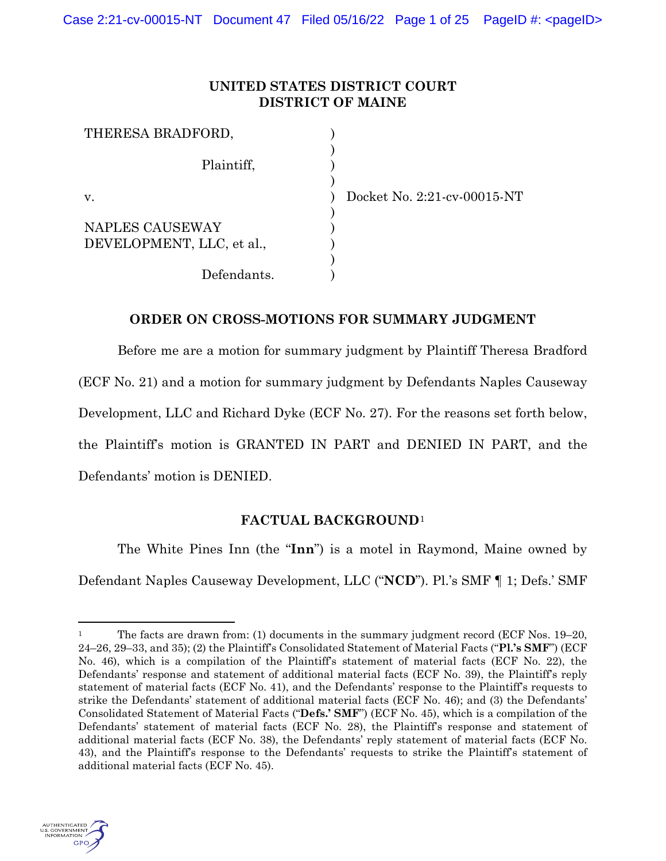## **UNITED STATES DISTRICT COURT DISTRICT OF MAINE**

| THERESA BRADFORD,         |  |
|---------------------------|--|
| Plaintiff,                |  |
| V.                        |  |
| NAPLES CAUSEWAY           |  |
| DEVELOPMENT, LLC, et al., |  |
|                           |  |
| Defendants.               |  |

Docket No. 2:21-cv-00015-NT

## **ORDER ON CROSS-MOTIONS FOR SUMMARY JUDGMENT**

Before me are a motion for summary judgment by Plaintiff Theresa Bradford (ECF No. 21) and a motion for summary judgment by Defendants Naples Causeway Development, LLC and Richard Dyke (ECF No. 27). For the reasons set forth below, the Plaintiff's motion is GRANTED IN PART and DENIED IN PART, and the Defendants' motion is DENIED.

# **FACTUAL BACKGROUND**<sup>1</sup>

The White Pines Inn (the "**Inn**") is a motel in Raymond, Maine owned by Defendant Naples Causeway Development, LLC ("**NCD**"). Pl.'s SMF ¶ 1; Defs.' SMF



<sup>&</sup>lt;sup>1</sup> The facts are drawn from: (1) documents in the summary judgment record (ECF Nos.  $19-20$ , 24–26, 29–33, and 35); (2) the Plaintiff's Consolidated Statement of Material Facts ("**Pl.'s SMF**") (ECF No. 46), which is a compilation of the Plaintiff's statement of material facts (ECF No. 22), the Defendants' response and statement of additional material facts (ECF No. 39), the Plaintiff's reply statement of material facts (ECF No. 41), and the Defendants' response to the Plaintiff's requests to strike the Defendants' statement of additional material facts (ECF No. 46); and (3) the Defendants' Consolidated Statement of Material Facts ("**Defs.' SMF**") (ECF No. 45), which is a compilation of the Defendants' statement of material facts (ECF No. 28), the Plaintiff's response and statement of additional material facts (ECF No. 38), the Defendants' reply statement of material facts (ECF No. 43), and the Plaintiff's response to the Defendants' requests to strike the Plaintiff's statement of additional material facts (ECF No. 45).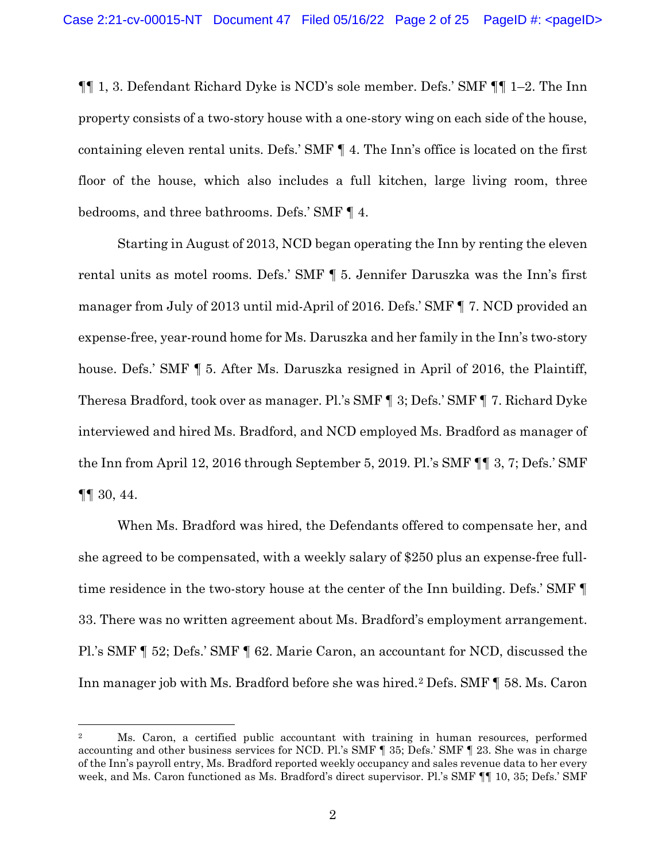¶¶ 1, 3. Defendant Richard Dyke is NCD's sole member. Defs.' SMF ¶¶ 1–2. The Inn property consists of a two-story house with a one-story wing on each side of the house, containing eleven rental units. Defs.' SMF ¶ 4. The Inn's office is located on the first floor of the house, which also includes a full kitchen, large living room, three bedrooms, and three bathrooms. Defs.' SMF ¶ 4.

Starting in August of 2013, NCD began operating the Inn by renting the eleven rental units as motel rooms. Defs.' SMF ¶ 5. Jennifer Daruszka was the Inn's first manager from July of 2013 until mid-April of 2016. Defs.' SMF ¶ 7. NCD provided an expense-free, year-round home for Ms. Daruszka and her family in the Inn's two-story house. Defs.' SMF ¶ 5. After Ms. Daruszka resigned in April of 2016, the Plaintiff, Theresa Bradford, took over as manager. Pl.'s SMF ¶ 3; Defs.' SMF ¶ 7. Richard Dyke interviewed and hired Ms. Bradford, and NCD employed Ms. Bradford as manager of the Inn from April 12, 2016 through September 5, 2019. Pl.'s SMF ¶¶ 3, 7; Defs.' SMF ¶¶ 30, 44.

When Ms. Bradford was hired, the Defendants offered to compensate her, and she agreed to be compensated, with a weekly salary of \$250 plus an expense-free fulltime residence in the two-story house at the center of the Inn building. Defs.' SMF ¶ 33. There was no written agreement about Ms. Bradford's employment arrangement. Pl.'s SMF ¶ 52; Defs.' SMF ¶ 62. Marie Caron, an accountant for NCD, discussed the Inn manager job with Ms. Bradford before she was hired.<sup>2</sup> Defs. SMF [ 58. Ms. Caron

<sup>2</sup> Ms. Caron, a certified public accountant with training in human resources, performed accounting and other business services for NCD. Pl.'s SMF ¶ 35; Defs.' SMF ¶ 23. She was in charge of the Inn's payroll entry, Ms. Bradford reported weekly occupancy and sales revenue data to her every week, and Ms. Caron functioned as Ms. Bradford's direct supervisor. Pl.'s SMF ¶¶ 10, 35; Defs.' SMF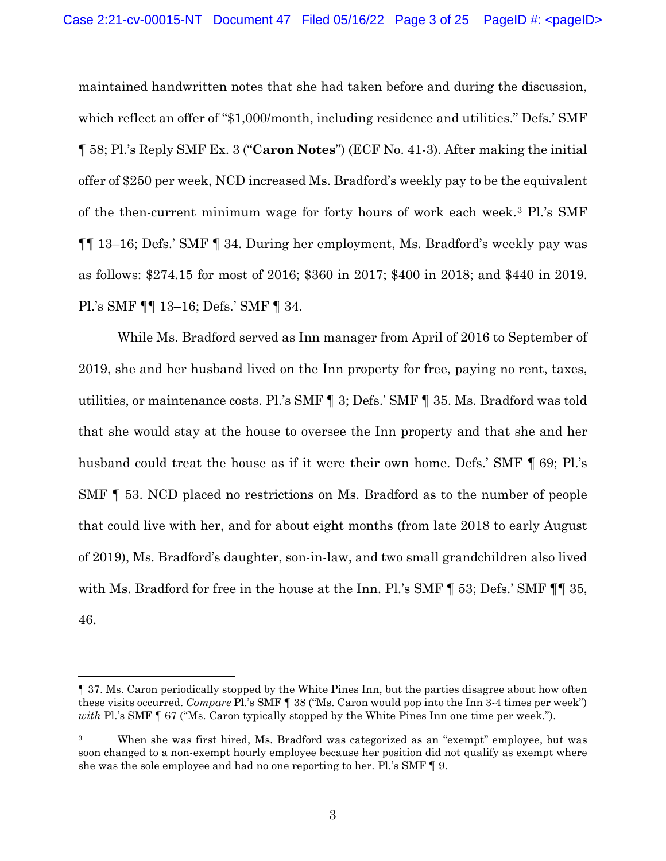maintained handwritten notes that she had taken before and during the discussion, which reflect an offer of "\$1,000/month, including residence and utilities." Defs.' SMF ¶ 58; Pl.'s Reply SMF Ex. 3 ("**Caron Notes**") (ECF No. 41-3). After making the initial offer of \$250 per week, NCD increased Ms. Bradford's weekly pay to be the equivalent of the then-current minimum wage for forty hours of work each week.3 Pl.'s SMF ¶¶ 13–16; Defs.' SMF ¶ 34. During her employment, Ms. Bradford's weekly pay was as follows: \$274.15 for most of 2016; \$360 in 2017; \$400 in 2018; and \$440 in 2019. Pl.'s SMF ¶¶ 13–16; Defs.' SMF ¶ 34.

While Ms. Bradford served as Inn manager from April of 2016 to September of 2019, she and her husband lived on the Inn property for free, paying no rent, taxes, utilities, or maintenance costs. Pl.'s SMF ¶ 3; Defs.' SMF ¶ 35. Ms. Bradford was told that she would stay at the house to oversee the Inn property and that she and her husband could treat the house as if it were their own home. Defs.' SMF  $\P$  69; Pl.'s SMF ¶ 53. NCD placed no restrictions on Ms. Bradford as to the number of people that could live with her, and for about eight months (from late 2018 to early August of 2019), Ms. Bradford's daughter, son-in-law, and two small grandchildren also lived with Ms. Bradford for free in the house at the Inn. Pl.'s SMF  $\P$  53; Defs.' SMF  $\P$  1 35, 46.

<sup>¶</sup> 37. Ms. Caron periodically stopped by the White Pines Inn, but the parties disagree about how often these visits occurred. *Compare* Pl.'s SMF ¶ 38 ("Ms. Caron would pop into the Inn 3-4 times per week") *with* Pl.'s SMF ¶ 67 ("Ms. Caron typically stopped by the White Pines Inn one time per week.").

<sup>3</sup> When she was first hired, Ms. Bradford was categorized as an "exempt" employee, but was soon changed to a non-exempt hourly employee because her position did not qualify as exempt where she was the sole employee and had no one reporting to her. Pl.'s SMF ¶ 9.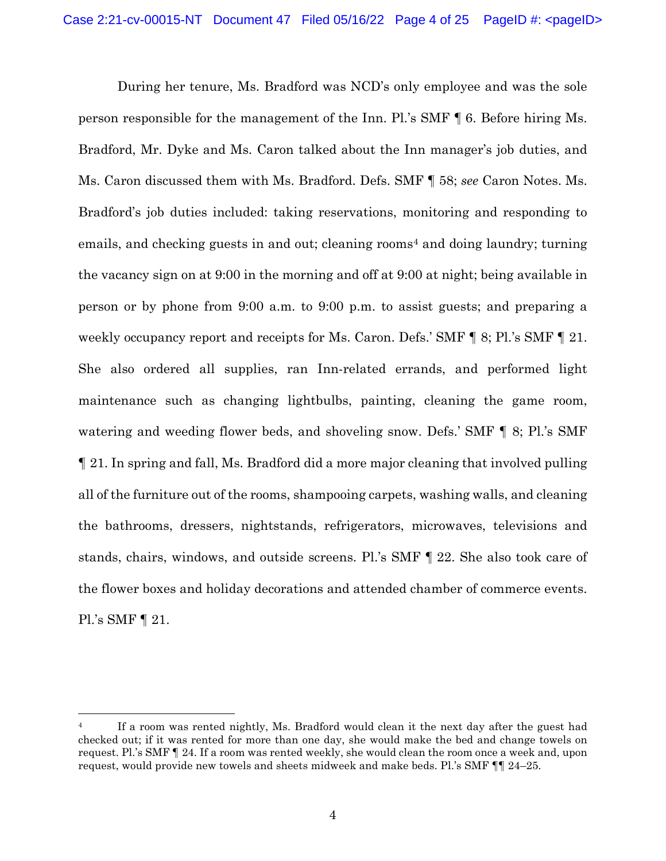During her tenure, Ms. Bradford was NCD's only employee and was the sole person responsible for the management of the Inn. Pl.'s SMF ¶ 6. Before hiring Ms. Bradford, Mr. Dyke and Ms. Caron talked about the Inn manager's job duties, and Ms. Caron discussed them with Ms. Bradford. Defs. SMF ¶ 58; *see* Caron Notes. Ms. Bradford's job duties included: taking reservations, monitoring and responding to emails, and checking guests in and out; cleaning rooms<sup>4</sup> and doing laundry; turning the vacancy sign on at 9:00 in the morning and off at 9:00 at night; being available in person or by phone from 9:00 a.m. to 9:00 p.m. to assist guests; and preparing a weekly occupancy report and receipts for Ms. Caron. Defs.' SMF  $\P$  8; Pl.'s SMF  $\P$  21. She also ordered all supplies, ran Inn-related errands, and performed light maintenance such as changing lightbulbs, painting, cleaning the game room, watering and weeding flower beds, and shoveling snow. Defs.' SMF ¶ 8; Pl.'s SMF ¶ 21. In spring and fall, Ms. Bradford did a more major cleaning that involved pulling all of the furniture out of the rooms, shampooing carpets, washing walls, and cleaning the bathrooms, dressers, nightstands, refrigerators, microwaves, televisions and stands, chairs, windows, and outside screens. Pl.'s SMF ¶ 22. She also took care of the flower boxes and holiday decorations and attended chamber of commerce events. Pl.'s SMF ¶ 21.

<sup>&</sup>lt;sup>4</sup> If a room was rented nightly, Ms. Bradford would clean it the next day after the guest had checked out; if it was rented for more than one day, she would make the bed and change towels on request. Pl.'s SMF ¶ 24. If a room was rented weekly, she would clean the room once a week and, upon request, would provide new towels and sheets midweek and make beds. Pl.'s SMF ¶¶ 24–25.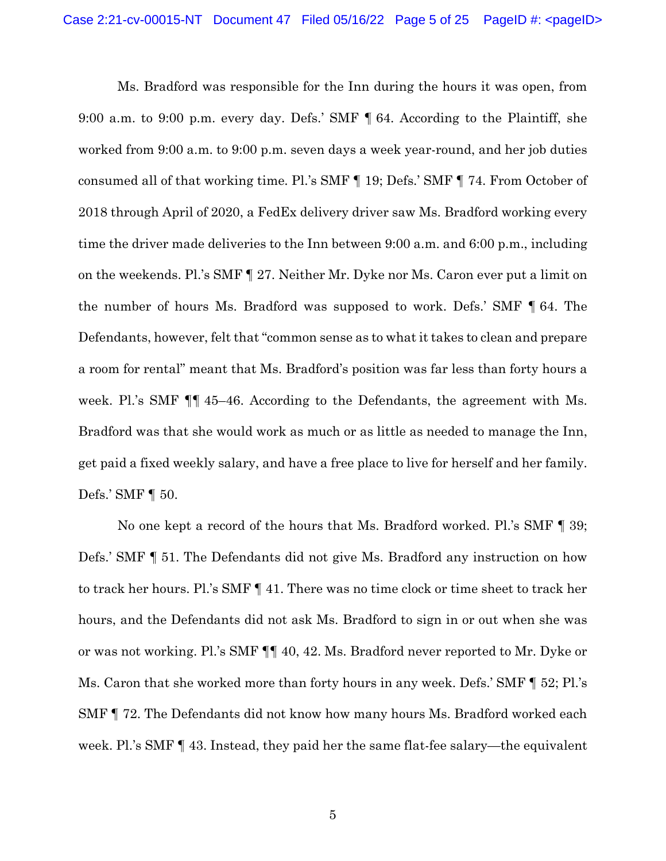Ms. Bradford was responsible for the Inn during the hours it was open, from 9:00 a.m. to 9:00 p.m. every day. Defs.' SMF ¶ 64. According to the Plaintiff, she worked from 9:00 a.m. to 9:00 p.m. seven days a week year-round, and her job duties consumed all of that working time. Pl.'s SMF ¶ 19; Defs.' SMF ¶ 74. From October of 2018 through April of 2020, a FedEx delivery driver saw Ms. Bradford working every time the driver made deliveries to the Inn between 9:00 a.m. and 6:00 p.m., including on the weekends. Pl.'s SMF ¶ 27. Neither Mr. Dyke nor Ms. Caron ever put a limit on the number of hours Ms. Bradford was supposed to work. Defs.' SMF ¶ 64. The Defendants, however, felt that "common sense as to what it takes to clean and prepare a room for rental" meant that Ms. Bradford's position was far less than forty hours a week. Pl.'s SMF ¶¶ 45–46. According to the Defendants, the agreement with Ms. Bradford was that she would work as much or as little as needed to manage the Inn, get paid a fixed weekly salary, and have a free place to live for herself and her family. Defs.' SMF ¶ 50.

No one kept a record of the hours that Ms. Bradford worked. Pl.'s SMF ¶ 39; Defs.' SMF ¶ 51. The Defendants did not give Ms. Bradford any instruction on how to track her hours. Pl.'s SMF ¶ 41. There was no time clock or time sheet to track her hours, and the Defendants did not ask Ms. Bradford to sign in or out when she was or was not working. Pl.'s SMF ¶¶ 40, 42. Ms. Bradford never reported to Mr. Dyke or Ms. Caron that she worked more than forty hours in any week. Defs.' SMF ¶ 52; Pl.'s SMF ¶ 72. The Defendants did not know how many hours Ms. Bradford worked each week. Pl.'s SMF ¶ 43. Instead, they paid her the same flat-fee salary—the equivalent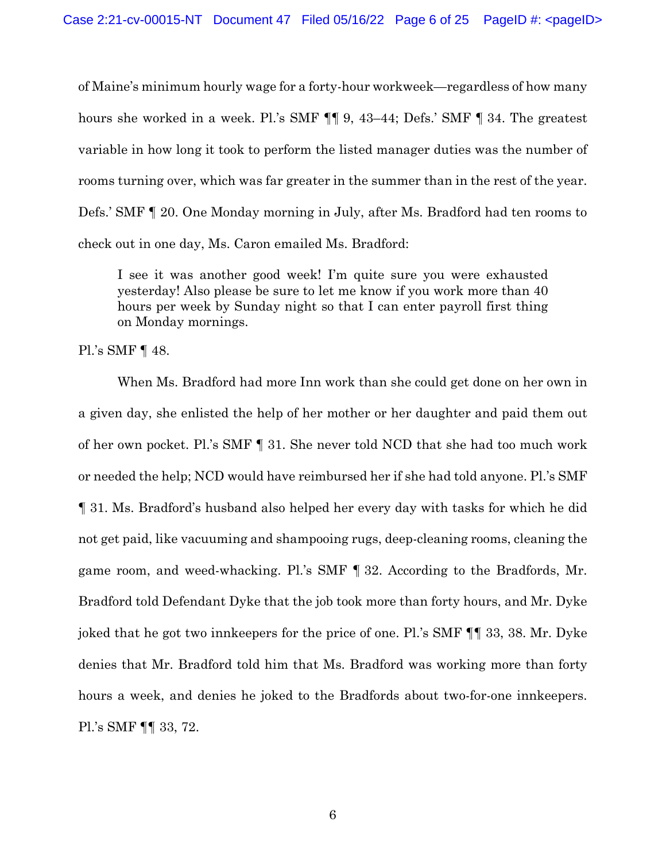of Maine's minimum hourly wage for a forty-hour workweek—regardless of how many hours she worked in a week. Pl.'s SMF  $\P$  9, 43–44; Defs.' SMF  $\P$  34. The greatest variable in how long it took to perform the listed manager duties was the number of rooms turning over, which was far greater in the summer than in the rest of the year. Defs.' SMF ¶ 20. One Monday morning in July, after Ms. Bradford had ten rooms to check out in one day, Ms. Caron emailed Ms. Bradford:

I see it was another good week! I'm quite sure you were exhausted yesterday! Also please be sure to let me know if you work more than 40 hours per week by Sunday night so that I can enter payroll first thing on Monday mornings.

Pl.'s SMF ¶ 48.

When Ms. Bradford had more Inn work than she could get done on her own in a given day, she enlisted the help of her mother or her daughter and paid them out of her own pocket. Pl.'s SMF ¶ 31. She never told NCD that she had too much work or needed the help; NCD would have reimbursed her if she had told anyone. Pl.'s SMF ¶ 31. Ms. Bradford's husband also helped her every day with tasks for which he did not get paid, like vacuuming and shampooing rugs, deep-cleaning rooms, cleaning the game room, and weed-whacking. Pl.'s SMF ¶ 32. According to the Bradfords, Mr. Bradford told Defendant Dyke that the job took more than forty hours, and Mr. Dyke joked that he got two innkeepers for the price of one. Pl.'s SMF ¶¶ 33, 38. Mr. Dyke denies that Mr. Bradford told him that Ms. Bradford was working more than forty hours a week, and denies he joked to the Bradfords about two-for-one innkeepers. Pl.'s SMF ¶¶ 33, 72.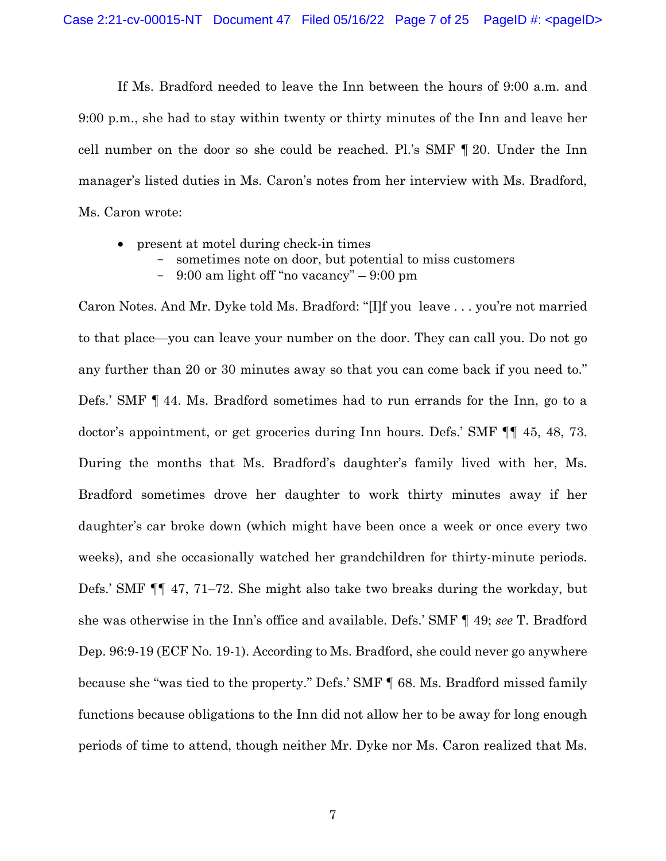If Ms. Bradford needed to leave the Inn between the hours of 9:00 a.m. and 9:00 p.m., she had to stay within twenty or thirty minutes of the Inn and leave her cell number on the door so she could be reached. Pl.'s SMF ¶ 20. Under the Inn manager's listed duties in Ms. Caron's notes from her interview with Ms. Bradford, Ms. Caron wrote:

- present at motel during check-in times
	- sometimes note on door, but potential to miss customers
	- $9:00$  am light off "no vacancy"  $9:00$  pm

Caron Notes. And Mr. Dyke told Ms. Bradford: "[I]f you leave . . . you're not married to that place—you can leave your number on the door. They can call you. Do not go any further than 20 or 30 minutes away so that you can come back if you need to." Defs.' SMF ¶ 44. Ms. Bradford sometimes had to run errands for the Inn, go to a doctor's appointment, or get groceries during Inn hours. Defs.' SMF ¶¶ 45, 48, 73. During the months that Ms. Bradford's daughter's family lived with her, Ms. Bradford sometimes drove her daughter to work thirty minutes away if her daughter's car broke down (which might have been once a week or once every two weeks), and she occasionally watched her grandchildren for thirty-minute periods. Defs.' SMF ¶¶ 47, 71–72. She might also take two breaks during the workday, but she was otherwise in the Inn's office and available. Defs.' SMF ¶ 49; *see* T. Bradford Dep. 96:9-19 (ECF No. 19-1). According to Ms. Bradford, she could never go anywhere because she "was tied to the property." Defs.' SMF ¶ 68. Ms. Bradford missed family functions because obligations to the Inn did not allow her to be away for long enough periods of time to attend, though neither Mr. Dyke nor Ms. Caron realized that Ms.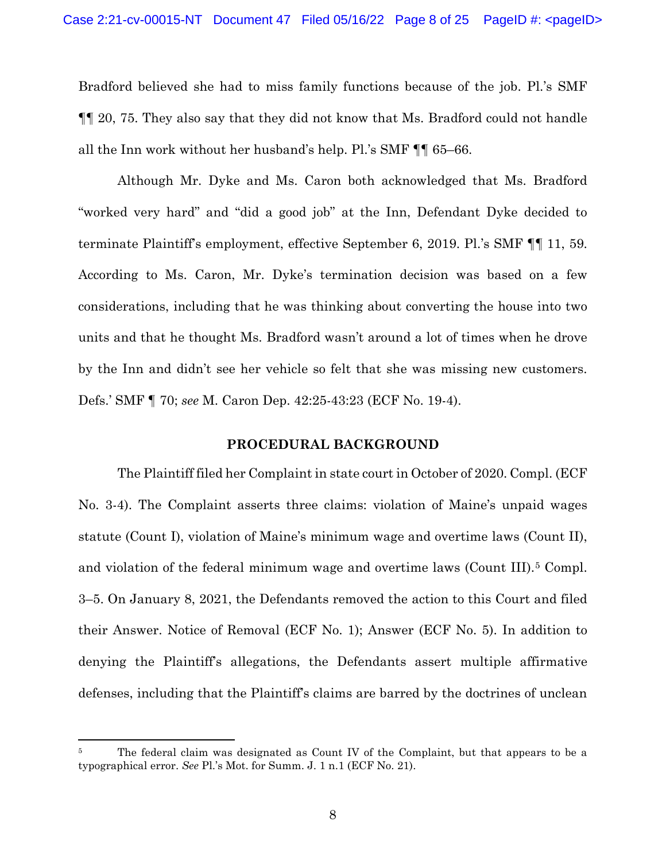Bradford believed she had to miss family functions because of the job. Pl.'s SMF ¶¶ 20, 75. They also say that they did not know that Ms. Bradford could not handle all the Inn work without her husband's help. Pl.'s SMF ¶¶ 65–66.

Although Mr. Dyke and Ms. Caron both acknowledged that Ms. Bradford "worked very hard" and "did a good job" at the Inn, Defendant Dyke decided to terminate Plaintiff's employment, effective September 6, 2019. Pl.'s SMF ¶¶ 11, 59. According to Ms. Caron, Mr. Dyke's termination decision was based on a few considerations, including that he was thinking about converting the house into two units and that he thought Ms. Bradford wasn't around a lot of times when he drove by the Inn and didn't see her vehicle so felt that she was missing new customers. Defs.' SMF ¶ 70; *see* M. Caron Dep. 42:25-43:23 (ECF No. 19-4).

## **PROCEDURAL BACKGROUND**

The Plaintiff filed her Complaint in state court in October of 2020. Compl. (ECF No. 3-4). The Complaint asserts three claims: violation of Maine's unpaid wages statute (Count I), violation of Maine's minimum wage and overtime laws (Count II), and violation of the federal minimum wage and overtime laws (Count III).5 Compl. 3–5. On January 8, 2021, the Defendants removed the action to this Court and filed their Answer. Notice of Removal (ECF No. 1); Answer (ECF No. 5). In addition to denying the Plaintiff's allegations, the Defendants assert multiple affirmative defenses, including that the Plaintiff's claims are barred by the doctrines of unclean

The federal claim was designated as Count IV of the Complaint, but that appears to be a typographical error. *See* Pl.'s Mot. for Summ. J. 1 n.1 (ECF No. 21).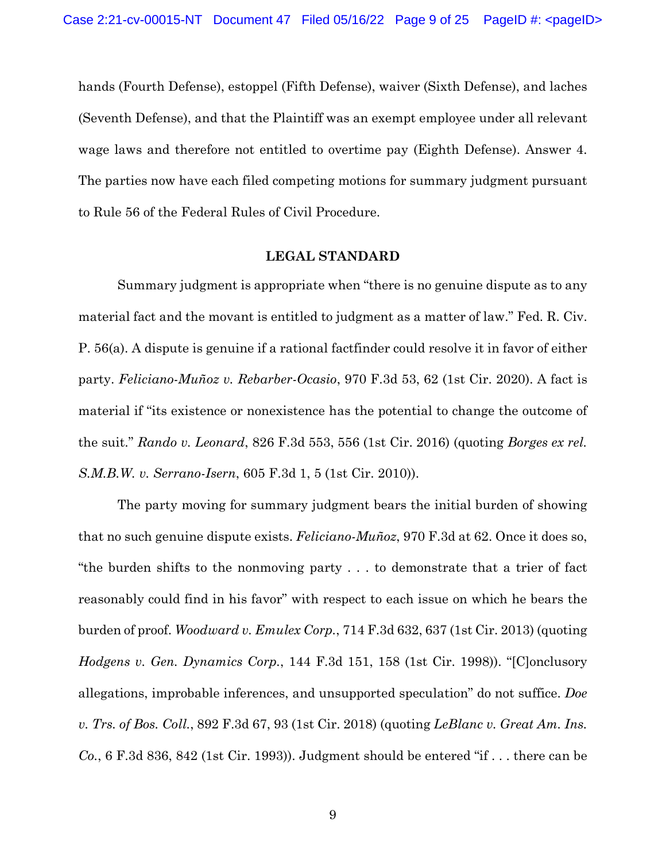hands (Fourth Defense), estoppel (Fifth Defense), waiver (Sixth Defense), and laches (Seventh Defense), and that the Plaintiff was an exempt employee under all relevant wage laws and therefore not entitled to overtime pay (Eighth Defense). Answer 4. The parties now have each filed competing motions for summary judgment pursuant to Rule 56 of the Federal Rules of Civil Procedure.

### **LEGAL STANDARD**

Summary judgment is appropriate when "there is no genuine dispute as to any material fact and the movant is entitled to judgment as a matter of law." Fed. R. Civ. P. 56(a). A dispute is genuine if a rational factfinder could resolve it in favor of either party. *Feliciano-Muñoz v. Rebarber-Ocasio*, 970 F.3d 53, 62 (1st Cir. 2020). A fact is material if "its existence or nonexistence has the potential to change the outcome of the suit." *Rando v. Leonard*, 826 F.3d 553, 556 (1st Cir. 2016) (quoting *Borges ex rel. S.M.B.W. v. Serrano-Isern*, 605 F.3d 1, 5 (1st Cir. 2010)).

The party moving for summary judgment bears the initial burden of showing that no such genuine dispute exists. *Feliciano-Muñoz*, 970 F.3d at 62. Once it does so, "the burden shifts to the nonmoving party . . . to demonstrate that a trier of fact reasonably could find in his favor" with respect to each issue on which he bears the burden of proof. *Woodward v. Emulex Corp.*, 714 F.3d 632, 637 (1st Cir. 2013) (quoting *Hodgens v. Gen. Dynamics Corp.*, 144 F.3d 151, 158 (1st Cir. 1998)). "[C]onclusory allegations, improbable inferences, and unsupported speculation" do not suffice. *Doe v. Trs. of Bos. Coll.*, 892 F.3d 67, 93 (1st Cir. 2018) (quoting *LeBlanc v. Great Am. Ins. Co.*, 6 F.3d 836, 842 (1st Cir. 1993)). Judgment should be entered "if . . . there can be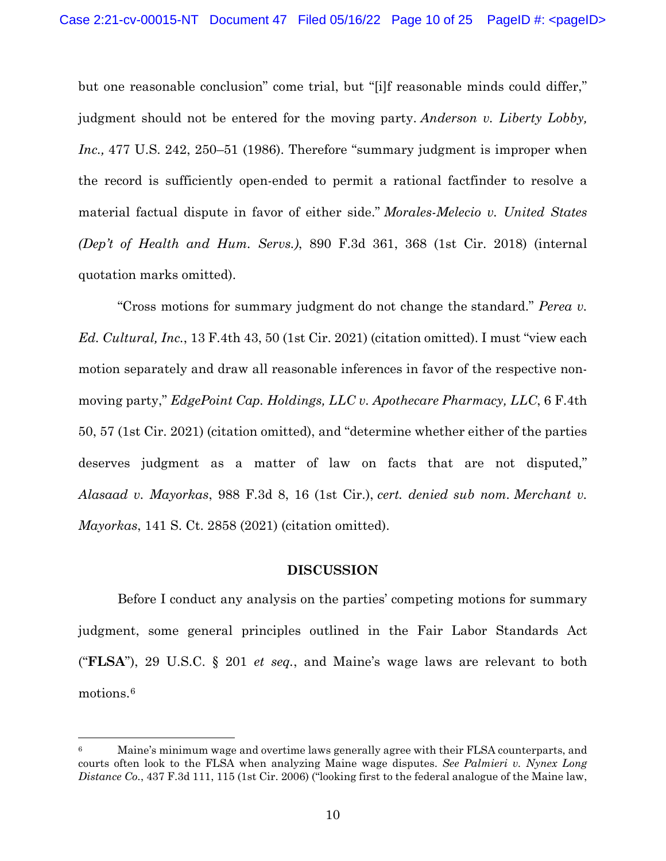but one reasonable conclusion" come trial, but "[i]f reasonable minds could differ," judgment should not be entered for the moving party. *Anderson v. Liberty Lobby, Inc.*, 477 U.S. 242, 250–51 (1986). Therefore "summary judgment is improper when the record is sufficiently open-ended to permit a rational factfinder to resolve a material factual dispute in favor of either side." *Morales-Melecio v. United States (Dep't of Health and Hum. Servs.)*, 890 F.3d 361, 368 (1st Cir. 2018) (internal quotation marks omitted).

"Cross motions for summary judgment do not change the standard." *Perea v. Ed. Cultural, Inc.*, 13 F.4th 43, 50 (1st Cir. 2021) (citation omitted). I must "view each motion separately and draw all reasonable inferences in favor of the respective nonmoving party," *EdgePoint Cap. Holdings, LLC v. Apothecare Pharmacy, LLC*, 6 F.4th 50, 57 (1st Cir. 2021) (citation omitted), and "determine whether either of the parties deserves judgment as a matter of law on facts that are not disputed," *Alasaad v. Mayorkas*, 988 F.3d 8, 16 (1st Cir.), *cert. denied sub nom. Merchant v. Mayorkas*, 141 S. Ct. 2858 (2021) (citation omitted).

#### **DISCUSSION**

Before I conduct any analysis on the parties' competing motions for summary judgment, some general principles outlined in the Fair Labor Standards Act ("**FLSA**"), 29 U.S.C. § 201 *et seq.*, and Maine's wage laws are relevant to both motions.6

<sup>6</sup> Maine's minimum wage and overtime laws generally agree with their FLSA counterparts, and courts often look to the FLSA when analyzing Maine wage disputes. *See Palmieri v. Nynex Long Distance Co.*, 437 F.3d 111, 115 (1st Cir. 2006) ("looking first to the federal analogue of the Maine law,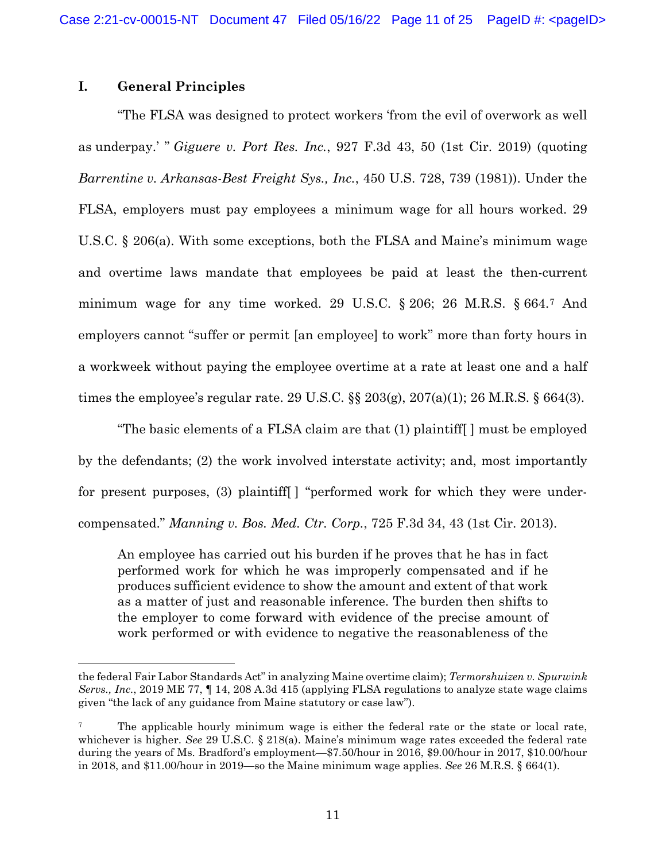## **I. General Principles**

"The FLSA was designed to protect workers 'from the evil of overwork as well as underpay.' " *Giguere v. Port Res. Inc.*, 927 F.3d 43, 50 (1st Cir. 2019) (quoting *Barrentine v. Arkansas-Best Freight Sys., Inc.*, 450 U.S. 728, 739 (1981)). Under the FLSA, employers must pay employees a minimum wage for all hours worked. 29 U.S.C. § 206(a). With some exceptions, both the FLSA and Maine's minimum wage and overtime laws mandate that employees be paid at least the then-current minimum wage for any time worked. 29 U.S.C. § 206; 26 M.R.S. § 664.7 And employers cannot "suffer or permit [an employee] to work" more than forty hours in a workweek without paying the employee overtime at a rate at least one and a half times the employee's regular rate. 29 U.S.C.  $\S$  203(g), 207(a)(1); 26 M.R.S. § 664(3).

"The basic elements of a FLSA claim are that (1) plaintiff[ ] must be employed by the defendants; (2) the work involved interstate activity; and, most importantly for present purposes, (3) plaintiff[ ] "performed work for which they were undercompensated." *Manning v. Bos. Med. Ctr. Corp.*, 725 F.3d 34, 43 (1st Cir. 2013).

An employee has carried out his burden if he proves that he has in fact performed work for which he was improperly compensated and if he produces sufficient evidence to show the amount and extent of that work as a matter of just and reasonable inference. The burden then shifts to the employer to come forward with evidence of the precise amount of work performed or with evidence to negative the reasonableness of the

the federal Fair Labor Standards Act" in analyzing Maine overtime claim); *Termorshuizen v. Spurwink Servs., Inc.*, 2019 ME 77, ¶ 14, 208 A.3d 415 (applying FLSA regulations to analyze state wage claims given "the lack of any guidance from Maine statutory or case law").

<sup>&</sup>lt;sup>7</sup> The applicable hourly minimum wage is either the federal rate or the state or local rate, whichever is higher. *See* 29 U.S.C. § 218(a). Maine's minimum wage rates exceeded the federal rate during the years of Ms. Bradford's employment—\$7.50/hour in 2016, \$9.00/hour in 2017, \$10.00/hour in 2018, and \$11.00/hour in 2019—so the Maine minimum wage applies. *See* 26 M.R.S. § 664(1).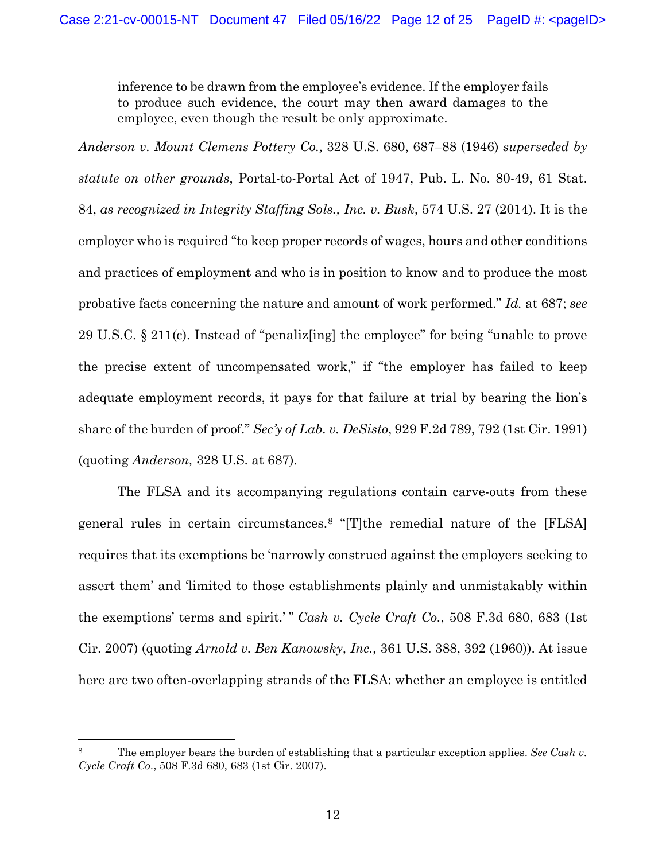inference to be drawn from the employee's evidence. If the employer fails to produce such evidence, the court may then award damages to the employee, even though the result be only approximate.

*Anderson v. Mount Clemens Pottery Co.,* 328 U.S. 680, 687–88 (1946) *superseded by statute on other grounds*, Portal-to-Portal Act of 1947, Pub. L. No. 80-49, 61 Stat. 84, *as recognized in Integrity Staffing Sols., Inc. v. Busk*, 574 U.S. 27 (2014). It is the employer who is required "to keep proper records of wages, hours and other conditions and practices of employment and who is in position to know and to produce the most probative facts concerning the nature and amount of work performed." *Id.* at 687; *see* 29 U.S.C. § 211(c). Instead of "penaliz[ing] the employee" for being "unable to prove the precise extent of uncompensated work," if "the employer has failed to keep adequate employment records, it pays for that failure at trial by bearing the lion's share of the burden of proof." *Sec'y of Lab. v. DeSisto*, 929 F.2d 789, 792 (1st Cir. 1991) (quoting *Anderson,* 328 U.S. at 687).

The FLSA and its accompanying regulations contain carve-outs from these general rules in certain circumstances.8 "[T]the remedial nature of the [FLSA] requires that its exemptions be 'narrowly construed against the employers seeking to assert them' and 'limited to those establishments plainly and unmistakably within the exemptions' terms and spirit.' " *Cash v. Cycle Craft Co.*, 508 F.3d 680, 683 (1st Cir. 2007) (quoting *Arnold v. Ben Kanowsky, Inc.,* 361 U.S. 388, 392 (1960)). At issue here are two often-overlapping strands of the FLSA: whether an employee is entitled

<sup>8</sup> The employer bears the burden of establishing that a particular exception applies. *See Cash v. Cycle Craft Co.*, 508 F.3d 680, 683 (1st Cir. 2007).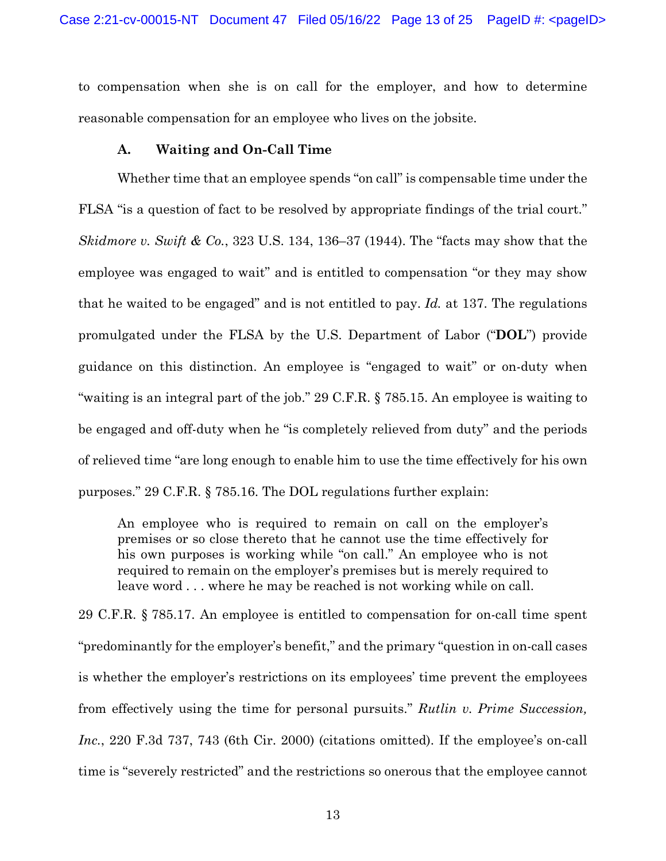to compensation when she is on call for the employer, and how to determine reasonable compensation for an employee who lives on the jobsite.

### **A. Waiting and On-Call Time**

Whether time that an employee spends "on call" is compensable time under the FLSA "is a question of fact to be resolved by appropriate findings of the trial court." *Skidmore v. Swift & Co.*, 323 U.S. 134, 136–37 (1944). The "facts may show that the employee was engaged to wait" and is entitled to compensation "or they may show that he waited to be engaged" and is not entitled to pay. *Id.* at 137. The regulations promulgated under the FLSA by the U.S. Department of Labor ("**DOL**") provide guidance on this distinction. An employee is "engaged to wait" or on-duty when "waiting is an integral part of the job." 29 C.F.R. § 785.15. An employee is waiting to be engaged and off-duty when he "is completely relieved from duty" and the periods of relieved time "are long enough to enable him to use the time effectively for his own purposes." 29 C.F.R. § 785.16. The DOL regulations further explain:

An employee who is required to remain on call on the employer's premises or so close thereto that he cannot use the time effectively for his own purposes is working while "on call." An employee who is not required to remain on the employer's premises but is merely required to leave word . . . where he may be reached is not working while on call.

29 C.F.R. § 785.17. An employee is entitled to compensation for on-call time spent "predominantly for the employer's benefit," and the primary "question in on-call cases is whether the employer's restrictions on its employees' time prevent the employees from effectively using the time for personal pursuits." *Rutlin v. Prime Succession, Inc.*, 220 F.3d 737, 743 (6th Cir. 2000) (citations omitted). If the employee's on-call time is "severely restricted" and the restrictions so onerous that the employee cannot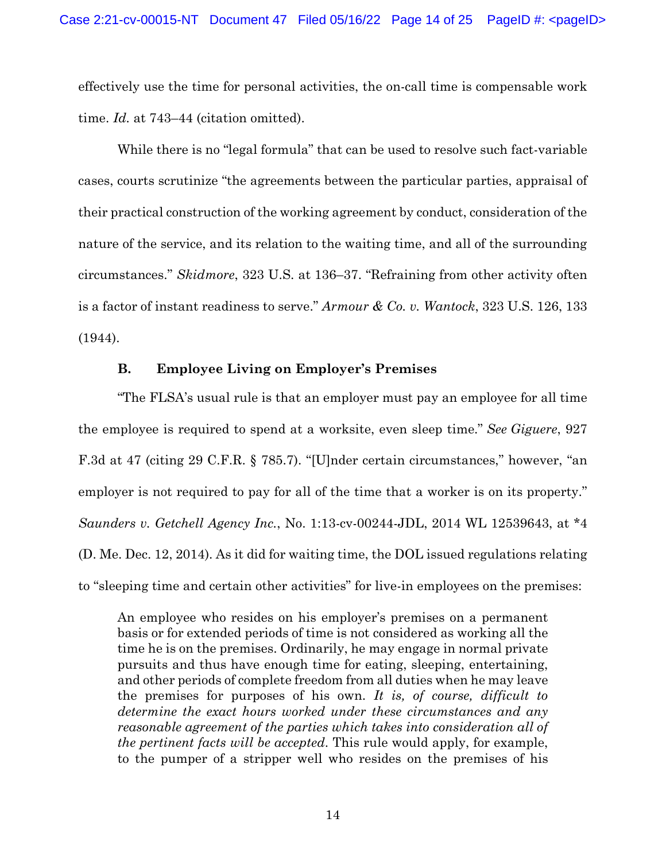effectively use the time for personal activities, the on-call time is compensable work time. *Id.* at 743–44 (citation omitted).

While there is no "legal formula" that can be used to resolve such fact-variable cases, courts scrutinize "the agreements between the particular parties, appraisal of their practical construction of the working agreement by conduct, consideration of the nature of the service, and its relation to the waiting time, and all of the surrounding circumstances." *Skidmore*, 323 U.S. at 136–37. "Refraining from other activity often is a factor of instant readiness to serve." *Armour & Co. v. Wantock*, 323 U.S. 126, 133 (1944).

### **B. Employee Living on Employer's Premises**

"The FLSA's usual rule is that an employer must pay an employee for all time the employee is required to spend at a worksite, even sleep time." *See Giguere*, 927 F.3d at 47 (citing 29 C.F.R. § 785.7). "[U]nder certain circumstances," however, "an employer is not required to pay for all of the time that a worker is on its property." *Saunders v. Getchell Agency Inc.*, No. 1:13-cv-00244-JDL, 2014 WL 12539643, at \*4 (D. Me. Dec. 12, 2014). As it did for waiting time, the DOL issued regulations relating to "sleeping time and certain other activities" for live-in employees on the premises:

An employee who resides on his employer's premises on a permanent basis or for extended periods of time is not considered as working all the time he is on the premises. Ordinarily, he may engage in normal private pursuits and thus have enough time for eating, sleeping, entertaining, and other periods of complete freedom from all duties when he may leave the premises for purposes of his own. *It is, of course, difficult to determine the exact hours worked under these circumstances and any reasonable agreement of the parties which takes into consideration all of the pertinent facts will be accepted*. This rule would apply, for example, to the pumper of a stripper well who resides on the premises of his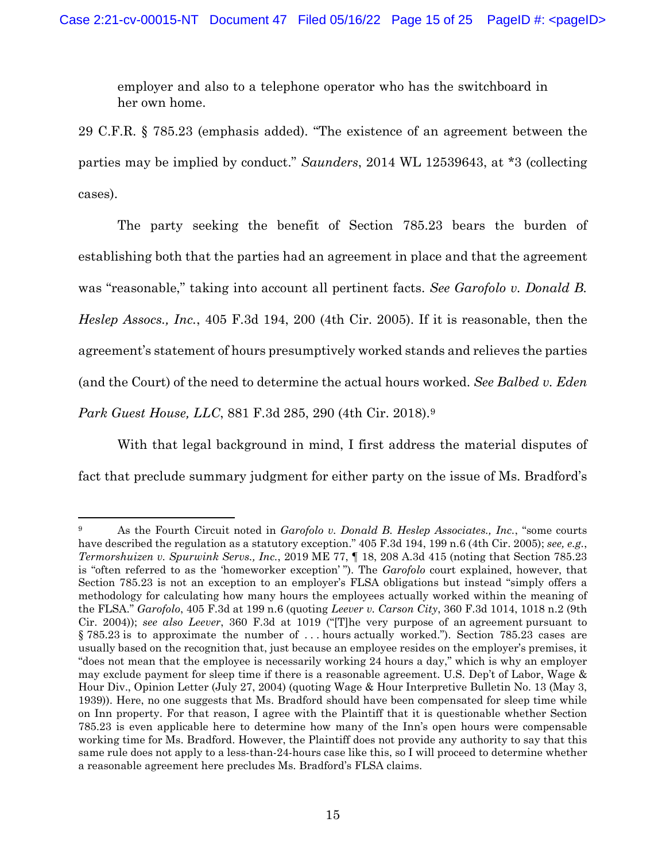employer and also to a telephone operator who has the switchboard in her own home.

29 C.F.R. § 785.23 (emphasis added). "The existence of an agreement between the parties may be implied by conduct." *Saunders*, 2014 WL 12539643, at \*3 (collecting cases).

The party seeking the benefit of Section 785.23 bears the burden of establishing both that the parties had an agreement in place and that the agreement was "reasonable," taking into account all pertinent facts. *See Garofolo v. Donald B. Heslep Assocs., Inc.*, 405 F.3d 194, 200 (4th Cir. 2005). If it is reasonable, then the agreement's statement of hours presumptively worked stands and relieves the parties (and the Court) of the need to determine the actual hours worked. *See Balbed v. Eden Park Guest House, LLC*, 881 F.3d 285, 290 (4th Cir. 2018).9

With that legal background in mind, I first address the material disputes of fact that preclude summary judgment for either party on the issue of Ms. Bradford's

<sup>9</sup> As the Fourth Circuit noted in *Garofolo v. Donald B. Heslep Associates., Inc.*, "some courts have described the regulation as a statutory exception." 405 F.3d 194, 199 n.6 (4th Cir. 2005); *see, e.g.*, *Termorshuizen v. Spurwink Servs., Inc.*, 2019 ME 77, ¶ 18, 208 A.3d 415 (noting that Section 785.23 is "often referred to as the 'homeworker exception' "). The *Garofolo* court explained, however, that Section 785.23 is not an exception to an employer's FLSA obligations but instead "simply offers a methodology for calculating how many hours the employees actually worked within the meaning of the FLSA." *Garofolo*, 405 F.3d at 199 n.6 (quoting *Leever v. Carson City*, 360 F.3d 1014, 1018 n.2 (9th Cir. 2004)); *see also Leever*, 360 F.3d at 1019 ("[T]he very purpose of an agreement pursuant to § 785.23 is to approximate the number of . . . hours actually worked."). Section 785.23 cases are usually based on the recognition that, just because an employee resides on the employer's premises, it "does not mean that the employee is necessarily working 24 hours a day," which is why an employer may exclude payment for sleep time if there is a reasonable agreement. U.S. Dep't of Labor, Wage & Hour Div., Opinion Letter (July 27, 2004) (quoting Wage & Hour Interpretive Bulletin No. 13 (May 3, 1939)). Here, no one suggests that Ms. Bradford should have been compensated for sleep time while on Inn property. For that reason, I agree with the Plaintiff that it is questionable whether Section 785.23 is even applicable here to determine how many of the Inn's open hours were compensable working time for Ms. Bradford. However, the Plaintiff does not provide any authority to say that this same rule does not apply to a less-than-24-hours case like this, so I will proceed to determine whether a reasonable agreement here precludes Ms. Bradford's FLSA claims.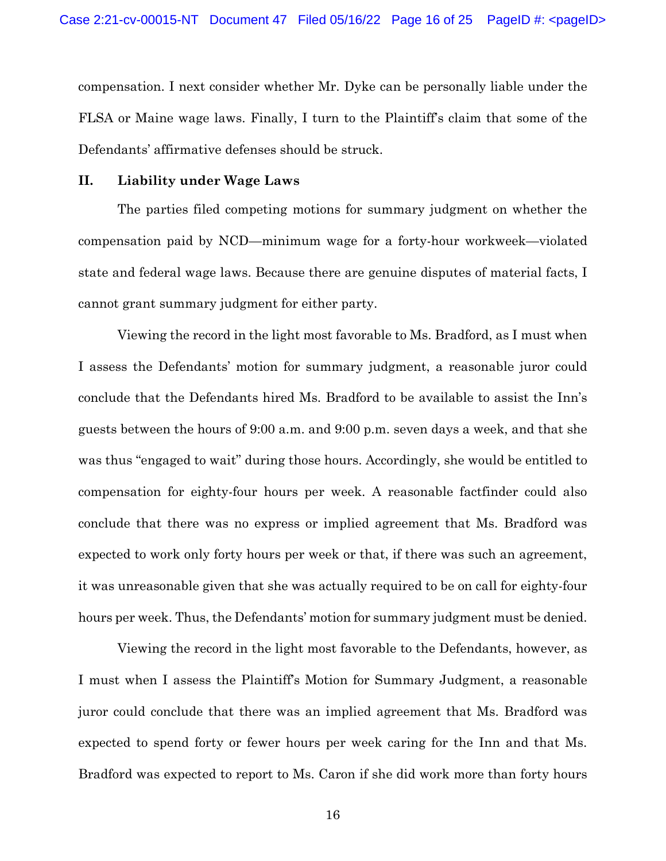compensation. I next consider whether Mr. Dyke can be personally liable under the FLSA or Maine wage laws. Finally, I turn to the Plaintiff's claim that some of the Defendants' affirmative defenses should be struck.

### **II. Liability under Wage Laws**

The parties filed competing motions for summary judgment on whether the compensation paid by NCD—minimum wage for a forty-hour workweek—violated state and federal wage laws. Because there are genuine disputes of material facts, I cannot grant summary judgment for either party.

Viewing the record in the light most favorable to Ms. Bradford, as I must when I assess the Defendants' motion for summary judgment, a reasonable juror could conclude that the Defendants hired Ms. Bradford to be available to assist the Inn's guests between the hours of 9:00 a.m. and 9:00 p.m. seven days a week, and that she was thus "engaged to wait" during those hours. Accordingly, she would be entitled to compensation for eighty-four hours per week. A reasonable factfinder could also conclude that there was no express or implied agreement that Ms. Bradford was expected to work only forty hours per week or that, if there was such an agreement, it was unreasonable given that she was actually required to be on call for eighty-four hours per week. Thus, the Defendants' motion for summary judgment must be denied.

Viewing the record in the light most favorable to the Defendants, however, as I must when I assess the Plaintiff's Motion for Summary Judgment, a reasonable juror could conclude that there was an implied agreement that Ms. Bradford was expected to spend forty or fewer hours per week caring for the Inn and that Ms. Bradford was expected to report to Ms. Caron if she did work more than forty hours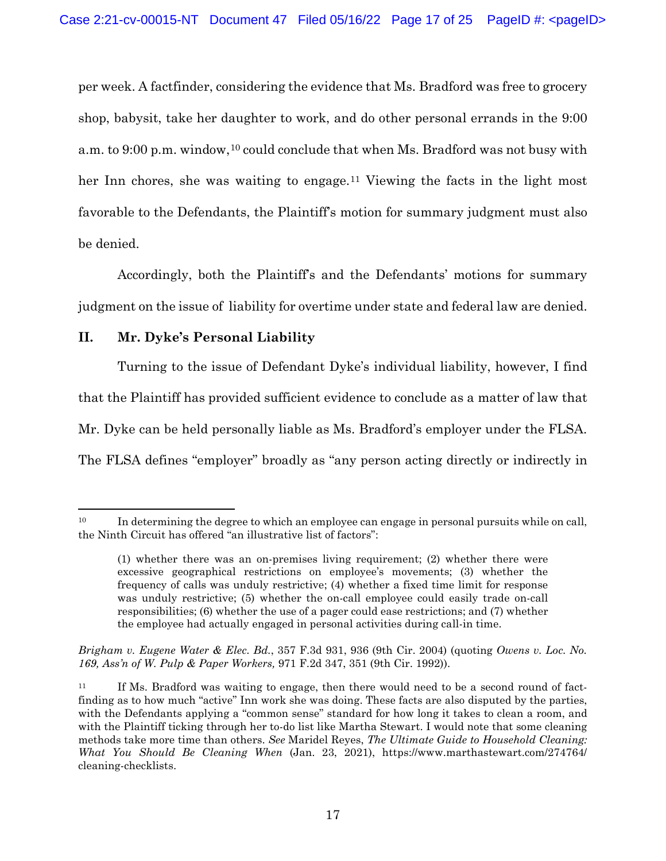per week. A factfinder, considering the evidence that Ms. Bradford was free to grocery shop, babysit, take her daughter to work, and do other personal errands in the 9:00 a.m. to 9:00 p.m. window,<sup>10</sup> could conclude that when Ms. Bradford was not busy with her Inn chores, she was waiting to engage.<sup>11</sup> Viewing the facts in the light most favorable to the Defendants, the Plaintiff's motion for summary judgment must also be denied.

Accordingly, both the Plaintiff's and the Defendants' motions for summary judgment on the issue of liability for overtime under state and federal law are denied.

## **II. Mr. Dyke's Personal Liability**

Turning to the issue of Defendant Dyke's individual liability, however, I find that the Plaintiff has provided sufficient evidence to conclude as a matter of law that Mr. Dyke can be held personally liable as Ms. Bradford's employer under the FLSA. The FLSA defines "employer" broadly as "any person acting directly or indirectly in

*Brigham v. Eugene Water & Elec. Bd.*, 357 F.3d 931, 936 (9th Cir. 2004) (quoting *Owens v. Loc. No. 169, Ass'n of W. Pulp & Paper Workers,* 971 F.2d 347, 351 (9th Cir. 1992)).

<sup>&</sup>lt;sup>10</sup> In determining the degree to which an employee can engage in personal pursuits while on call, the Ninth Circuit has offered "an illustrative list of factors":

<sup>(1)</sup> whether there was an on-premises living requirement; (2) whether there were excessive geographical restrictions on employee's movements; (3) whether the frequency of calls was unduly restrictive; (4) whether a fixed time limit for response was unduly restrictive; (5) whether the on-call employee could easily trade on-call responsibilities; (6) whether the use of a pager could ease restrictions; and (7) whether the employee had actually engaged in personal activities during call-in time.

<sup>&</sup>lt;sup>11</sup> If Ms. Bradford was waiting to engage, then there would need to be a second round of factfinding as to how much "active" Inn work she was doing. These facts are also disputed by the parties, with the Defendants applying a "common sense" standard for how long it takes to clean a room, and with the Plaintiff ticking through her to-do list like Martha Stewart. I would note that some cleaning methods take more time than others. *See* Maridel Reyes, *The Ultimate Guide to Household Cleaning: What You Should Be Cleaning When* (Jan. 23, 2021), https://www.marthastewart.com/274764/ cleaning-checklists.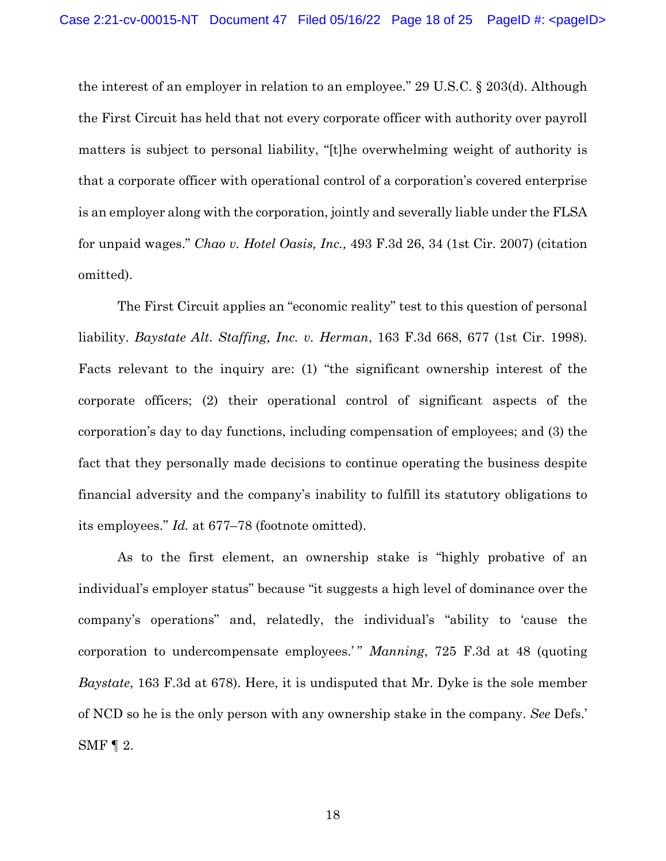the interest of an employer in relation to an employee." 29 U.S.C. § 203(d). Although the First Circuit has held that not every corporate officer with authority over payroll matters is subject to personal liability, "[t]he overwhelming weight of authority is that a corporate officer with operational control of a corporation's covered enterprise is an employer along with the corporation, jointly and severally liable under the FLSA for unpaid wages." *Chao v. Hotel Oasis, Inc.,* 493 F.3d 26, 34 (1st Cir. 2007) (citation omitted).

The First Circuit applies an "economic reality" test to this question of personal liability. *Baystate Alt. Staffing, Inc. v. Herman*, 163 F.3d 668, 677 (1st Cir. 1998). Facts relevant to the inquiry are: (1) "the significant ownership interest of the corporate officers; (2) their operational control of significant aspects of the corporation's day to day functions, including compensation of employees; and (3) the fact that they personally made decisions to continue operating the business despite financial adversity and the company's inability to fulfill its statutory obligations to its employees." *Id.* at 677–78 (footnote omitted).

As to the first element, an ownership stake is "highly probative of an individual's employer status" because "it suggests a high level of dominance over the company's operations" and, relatedly, the individual's "ability to 'cause the corporation to undercompensate employees.' " *Manning*, 725 F.3d at 48 (quoting *Baystate*, 163 F.3d at 678). Here, it is undisputed that Mr. Dyke is the sole member of NCD so he is the only person with any ownership stake in the company. *See* Defs.' SMF  $\P$  2.

18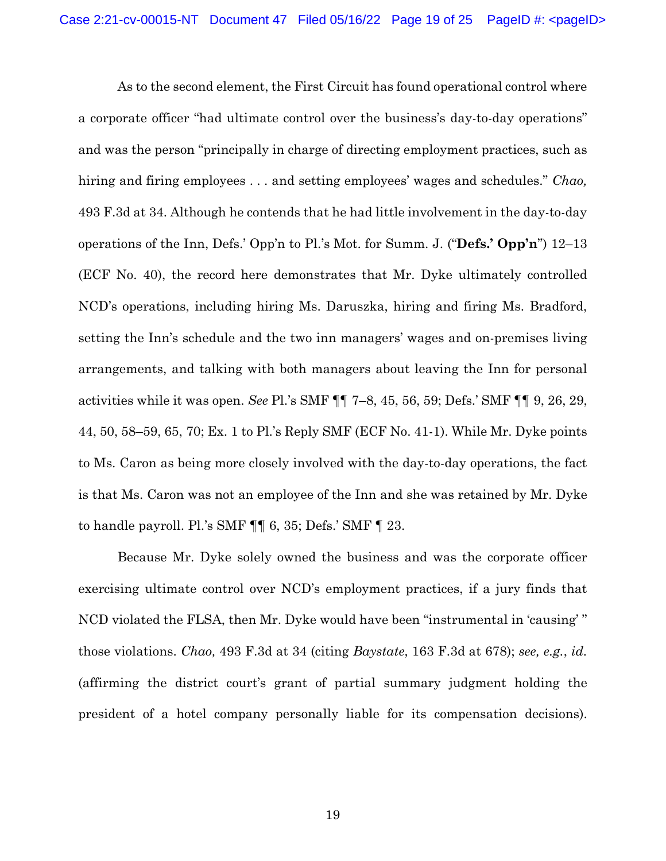As to the second element, the First Circuit has found operational control where a corporate officer "had ultimate control over the business's day-to-day operations" and was the person "principally in charge of directing employment practices, such as hiring and firing employees . . . and setting employees' wages and schedules." *Chao,* 493 F.3d at 34. Although he contends that he had little involvement in the day-to-day operations of the Inn, Defs.' Opp'n to Pl.'s Mot. for Summ. J. ("**Defs.' Opp'n**") 12–13 (ECF No. 40), the record here demonstrates that Mr. Dyke ultimately controlled NCD's operations, including hiring Ms. Daruszka, hiring and firing Ms. Bradford, setting the Inn's schedule and the two inn managers' wages and on-premises living arrangements, and talking with both managers about leaving the Inn for personal activities while it was open. *See* Pl.'s SMF ¶¶ 7–8, 45, 56, 59; Defs.' SMF ¶¶ 9, 26, 29, 44, 50, 58–59, 65, 70; Ex. 1 to Pl.'s Reply SMF (ECF No. 41-1). While Mr. Dyke points to Ms. Caron as being more closely involved with the day-to-day operations, the fact is that Ms. Caron was not an employee of the Inn and she was retained by Mr. Dyke to handle payroll. Pl.'s SMF  $\P$   $\parallel$  6, 35; Defs.' SMF  $\P$  23.

Because Mr. Dyke solely owned the business and was the corporate officer exercising ultimate control over NCD's employment practices, if a jury finds that NCD violated the FLSA, then Mr. Dyke would have been "instrumental in 'causing' " those violations. *Chao,* 493 F.3d at 34 (citing *Baystate*, 163 F.3d at 678); *see, e.g.*, *id.* (affirming the district court's grant of partial summary judgment holding the president of a hotel company personally liable for its compensation decisions).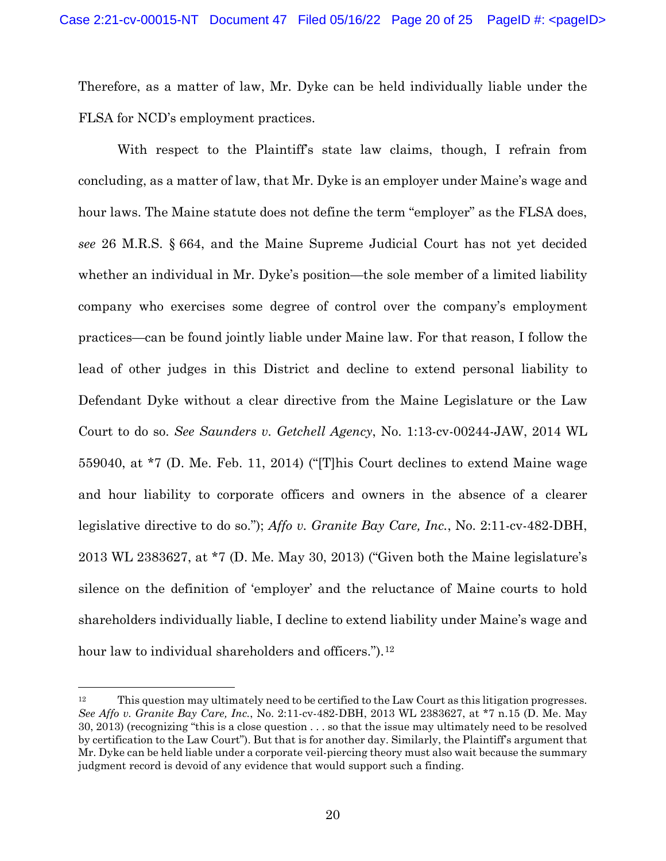Therefore, as a matter of law, Mr. Dyke can be held individually liable under the FLSA for NCD's employment practices.

With respect to the Plaintiff's state law claims, though, I refrain from concluding, as a matter of law, that Mr. Dyke is an employer under Maine's wage and hour laws. The Maine statute does not define the term "employer" as the FLSA does, *see* 26 M.R.S. § 664, and the Maine Supreme Judicial Court has not yet decided whether an individual in Mr. Dyke's position—the sole member of a limited liability company who exercises some degree of control over the company's employment practices—can be found jointly liable under Maine law. For that reason, I follow the lead of other judges in this District and decline to extend personal liability to Defendant Dyke without a clear directive from the Maine Legislature or the Law Court to do so. *See Saunders v. Getchell Agency*, No. 1:13-cv-00244-JAW, 2014 WL 559040, at \*7 (D. Me. Feb. 11, 2014) ("[T]his Court declines to extend Maine wage and hour liability to corporate officers and owners in the absence of a clearer legislative directive to do so."); *Affo v. Granite Bay Care, Inc.*, No. 2:11-cv-482-DBH, 2013 WL 2383627, at \*7 (D. Me. May 30, 2013) ("Given both the Maine legislature's silence on the definition of 'employer' and the reluctance of Maine courts to hold shareholders individually liable, I decline to extend liability under Maine's wage and hour law to individual shareholders and officers.").<sup>12</sup>

<sup>12</sup> This question may ultimately need to be certified to the Law Court as this litigation progresses. *See Affo v. Granite Bay Care, Inc.*, No. 2:11-cv-482-DBH, 2013 WL 2383627, at \*7 n.15 (D. Me. May 30, 2013) (recognizing "this is a close question . . . so that the issue may ultimately need to be resolved by certification to the Law Court"). But that is for another day. Similarly, the Plaintiff's argument that Mr. Dyke can be held liable under a corporate veil-piercing theory must also wait because the summary judgment record is devoid of any evidence that would support such a finding.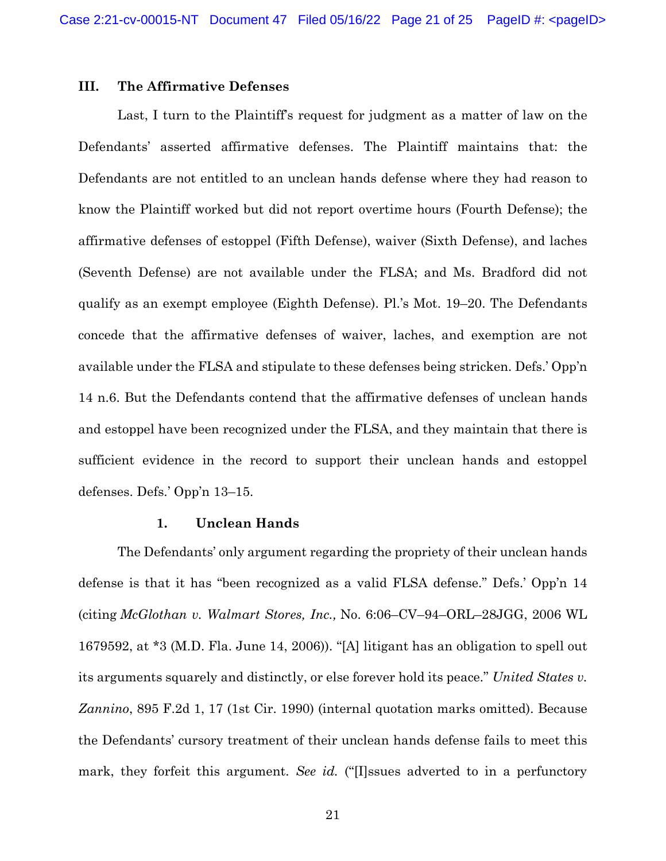### **III. The Affirmative Defenses**

Last, I turn to the Plaintiff's request for judgment as a matter of law on the Defendants' asserted affirmative defenses. The Plaintiff maintains that: the Defendants are not entitled to an unclean hands defense where they had reason to know the Plaintiff worked but did not report overtime hours (Fourth Defense); the affirmative defenses of estoppel (Fifth Defense), waiver (Sixth Defense), and laches (Seventh Defense) are not available under the FLSA; and Ms. Bradford did not qualify as an exempt employee (Eighth Defense). Pl.'s Mot. 19–20. The Defendants concede that the affirmative defenses of waiver, laches, and exemption are not available under the FLSA and stipulate to these defenses being stricken. Defs.' Opp'n 14 n.6. But the Defendants contend that the affirmative defenses of unclean hands and estoppel have been recognized under the FLSA, and they maintain that there is sufficient evidence in the record to support their unclean hands and estoppel defenses. Defs.' Opp'n 13–15.

## **1. Unclean Hands**

The Defendants' only argument regarding the propriety of their unclean hands defense is that it has "been recognized as a valid FLSA defense." Defs.' Opp'n 14 (citing *McGlothan v. Walmart Stores, Inc.,* No. 6:06–CV–94–ORL–28JGG, 2006 WL 1679592, at \*3 (M.D. Fla. June 14, 2006)). "[A] litigant has an obligation to spell out its arguments squarely and distinctly, or else forever hold its peace." *United States v. Zannino*, 895 F.2d 1, 17 (1st Cir. 1990) (internal quotation marks omitted). Because the Defendants' cursory treatment of their unclean hands defense fails to meet this mark, they forfeit this argument. *See id.* ("[I]ssues adverted to in a perfunctory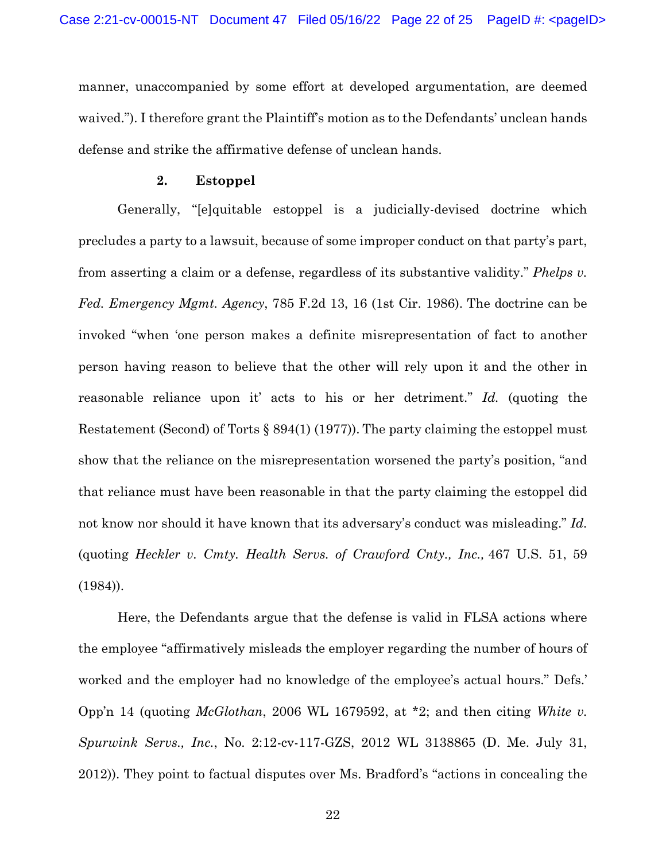manner, unaccompanied by some effort at developed argumentation, are deemed waived."). I therefore grant the Plaintiff's motion as to the Defendants' unclean hands defense and strike the affirmative defense of unclean hands.

### **2. Estoppel**

Generally, "[e]quitable estoppel is a judicially-devised doctrine which precludes a party to a lawsuit, because of some improper conduct on that party's part, from asserting a claim or a defense, regardless of its substantive validity." *Phelps v. Fed. Emergency Mgmt. Agency*, 785 F.2d 13, 16 (1st Cir. 1986). The doctrine can be invoked "when 'one person makes a definite misrepresentation of fact to another person having reason to believe that the other will rely upon it and the other in reasonable reliance upon it' acts to his or her detriment." *Id.* (quoting the Restatement (Second) of Torts § 894(1) (1977)). The party claiming the estoppel must show that the reliance on the misrepresentation worsened the party's position, "and that reliance must have been reasonable in that the party claiming the estoppel did not know nor should it have known that its adversary's conduct was misleading." *Id.* (quoting *Heckler v. Cmty. Health Servs. of Crawford Cnty., Inc.,* 467 U.S. 51, 59 (1984)).

Here, the Defendants argue that the defense is valid in FLSA actions where the employee "affirmatively misleads the employer regarding the number of hours of worked and the employer had no knowledge of the employee's actual hours." Defs.' Opp'n 14 (quoting *McGlothan*, 2006 WL 1679592, at \*2; and then citing *White v. Spurwink Servs., Inc.*, No. 2:12-cv-117-GZS, 2012 WL 3138865 (D. Me. July 31, 2012)). They point to factual disputes over Ms. Bradford's "actions in concealing the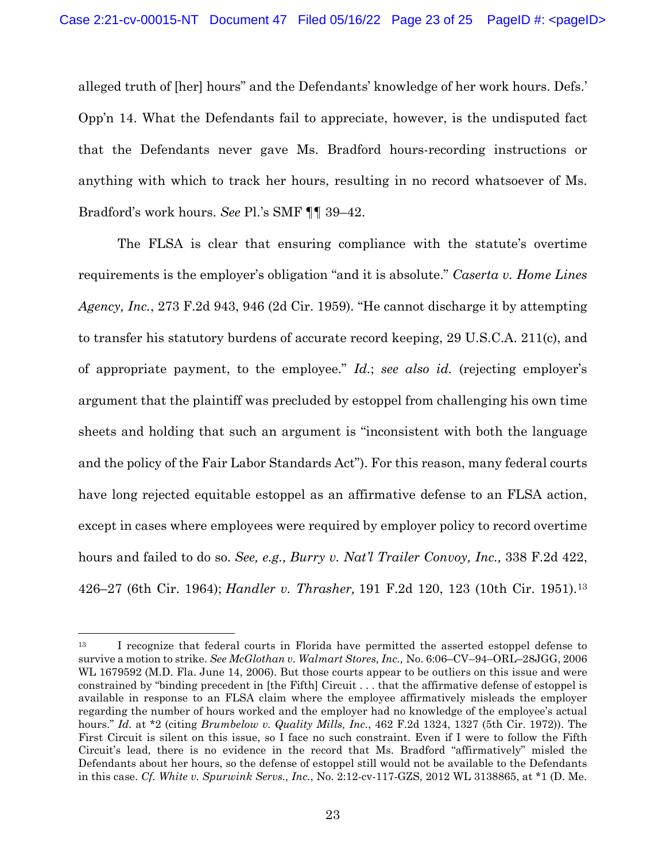alleged truth of [her] hours" and the Defendants' knowledge of her work hours. Defs.' Opp'n 14. What the Defendants fail to appreciate, however, is the undisputed fact that the Defendants never gave Ms. Bradford hours-recording instructions or anything with which to track her hours, resulting in no record whatsoever of Ms. Bradford's work hours. *See* Pl.'s SMF ¶¶ 39–42.

The FLSA is clear that ensuring compliance with the statute's overtime requirements is the employer's obligation "and it is absolute." *Caserta v. Home Lines Agency, Inc.*, 273 F.2d 943, 946 (2d Cir. 1959). "He cannot discharge it by attempting to transfer his statutory burdens of accurate record keeping, 29 U.S.C.A. 211(c), and of appropriate payment, to the employee." *Id.*; *see also id.* (rejecting employer's argument that the plaintiff was precluded by estoppel from challenging his own time sheets and holding that such an argument is "inconsistent with both the language and the policy of the Fair Labor Standards Act"). For this reason, many federal courts have long rejected equitable estoppel as an affirmative defense to an FLSA action, except in cases where employees were required by employer policy to record overtime hours and failed to do so. *See, e.g., Burry v. Nat'l Trailer Convoy, Inc.,* 338 F.2d 422, 426–27 (6th Cir. 1964); *Handler v. Thrasher,* 191 F.2d 120, 123 (10th Cir. 1951).13

<sup>&</sup>lt;sup>13</sup> I recognize that federal courts in Florida have permitted the asserted estoppel defense to survive a motion to strike. *See McGlothan v. Walmart Stores, Inc.,* No. 6:06–CV–94–ORL–28JGG, 2006 WL 1679592 (M.D. Fla. June 14, 2006). But those courts appear to be outliers on this issue and were constrained by "binding precedent in [the Fifth] Circuit . . . that the affirmative defense of estoppel is available in response to an FLSA claim where the employee affirmatively misleads the employer regarding the number of hours worked and the employer had no knowledge of the employee's actual hours." *Id.* at \*2 (citing *Brumbelow v. Quality Mills, Inc.*, 462 F.2d 1324, 1327 (5th Cir. 1972)). The First Circuit is silent on this issue, so I face no such constraint. Even if I were to follow the Fifth Circuit's lead, there is no evidence in the record that Ms. Bradford "affirmatively" misled the Defendants about her hours, so the defense of estoppel still would not be available to the Defendants in this case. *Cf. White v. Spurwink Servs., Inc.*, No. 2:12-cv-117-GZS, 2012 WL 3138865, at \*1 (D. Me.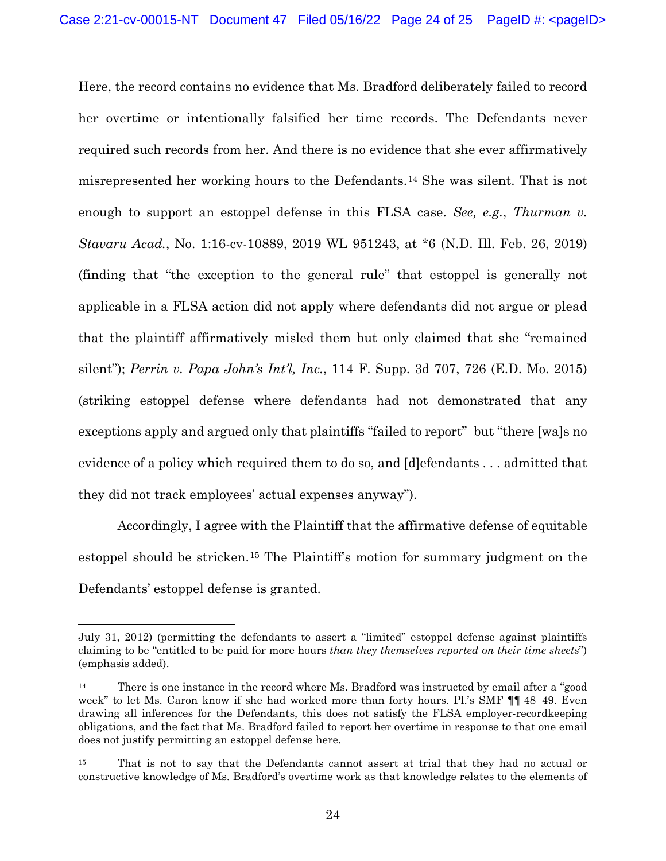Here, the record contains no evidence that Ms. Bradford deliberately failed to record her overtime or intentionally falsified her time records. The Defendants never required such records from her. And there is no evidence that she ever affirmatively misrepresented her working hours to the Defendants.14 She was silent. That is not enough to support an estoppel defense in this FLSA case. *See, e.g.*, *Thurman v. Stavaru Acad.*, No. 1:16-cv-10889, 2019 WL 951243, at \*6 (N.D. Ill. Feb. 26, 2019) (finding that "the exception to the general rule" that estoppel is generally not applicable in a FLSA action did not apply where defendants did not argue or plead that the plaintiff affirmatively misled them but only claimed that she "remained silent"); *Perrin v. Papa John's Int'l, Inc.*, 114 F. Supp. 3d 707, 726 (E.D. Mo. 2015) (striking estoppel defense where defendants had not demonstrated that any exceptions apply and argued only that plaintiffs "failed to report" but "there [wa]s no evidence of a policy which required them to do so, and [d]efendants . . . admitted that they did not track employees' actual expenses anyway").

Accordingly, I agree with the Plaintiff that the affirmative defense of equitable estoppel should be stricken.15 The Plaintiff's motion for summary judgment on the Defendants' estoppel defense is granted.

July 31, 2012) (permitting the defendants to assert a "limited" estoppel defense against plaintiffs claiming to be "entitled to be paid for more hours *than they themselves reported on their time sheets*") (emphasis added).

<sup>&</sup>lt;sup>14</sup> There is one instance in the record where Ms. Bradford was instructed by email after a "good week" to let Ms. Caron know if she had worked more than forty hours. Pl.'s SMF ¶¶ 48–49. Even drawing all inferences for the Defendants, this does not satisfy the FLSA employer-recordkeeping obligations, and the fact that Ms. Bradford failed to report her overtime in response to that one email does not justify permitting an estoppel defense here.

<sup>15</sup> That is not to say that the Defendants cannot assert at trial that they had no actual or constructive knowledge of Ms. Bradford's overtime work as that knowledge relates to the elements of